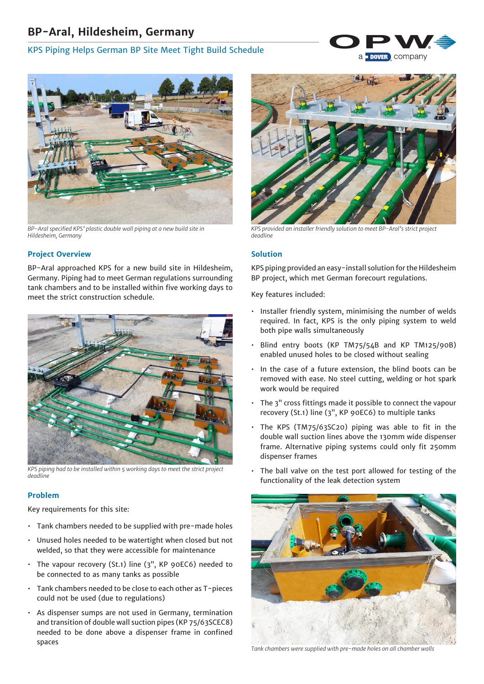# **BP-Aral, Hildesheim, Germany**

# KPS Piping Helps German BP Site Meet Tight Build Schedule





*BP-Aral specified KPS' plastic double wall piping at a new build site in Hildesheim, Germany*

# **Project Overview**

BP-Aral approached KPS for a new build site in Hildesheim, Germany. Piping had to meet German regulations surrounding tank chambers and to be installed within five working days to meet the strict construction schedule.



*KPS piping had to be installed within 5 working days to meet the strict project deadline*

#### **Problem**

Key requirements for this site:

- Tank chambers needed to be supplied with pre-made holes
- Unused holes needed to be watertight when closed but not welded, so that they were accessible for maintenance
- The vapour recovery (St.1) line (3", KP 90EC6) needed to be connected to as many tanks as possible
- Tank chambers needed to be close to each other as T-pieces could not be used (due to regulations)
- As dispenser sumps are not used in Germany, termination and transition of double wall suction pipes (KP 75/63SCEC8) needed to be done above a dispenser frame in confined spaces



*KPS provided an installer friendly solution to meet BP-Aral's strict project deadline*

# **Solution**

KPS piping provided an easy-install solution for the Hildesheim BP project, which met German forecourt regulations.

Key features included:

- Installer friendly system, minimising the number of welds required. In fact, KPS is the only piping system to weld both pipe walls simultaneously
- Blind entry boots (KP TM75/54B and KP TM125/90B) enabled unused holes to be closed without sealing
- In the case of a future extension, the blind boots can be removed with ease. No steel cutting, welding or hot spark work would be required
- The 3" cross fittings made it possible to connect the vapour recovery (St.1) line (3", KP 90EC6) to multiple tanks
- The KPS (TM75/63SC20) piping was able to fit in the double wall suction lines above the 130mm wide dispenser frame. Alternative piping systems could only fit 250mm dispenser frames
- The ball valve on the test port allowed for testing of the functionality of the leak detection system



*Tank chambers were supplied with pre-made holes on all chamber walls*